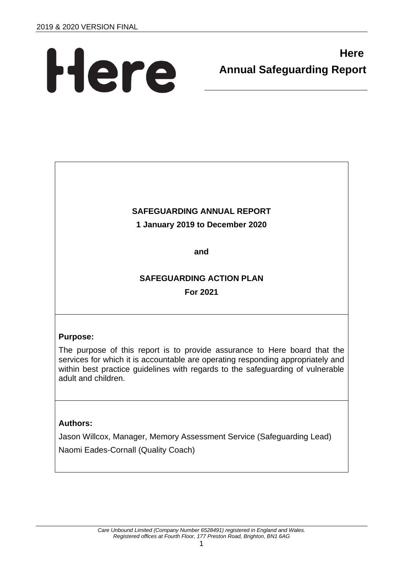# Here

# **Here Annual Safeguarding Report**

# **SAFEGUARDING ANNUAL REPORT**

# **1 January 2019 to December 2020**

**and**

# **SAFEGUARDING ACTION PLAN For 2021**

# **Purpose:**

The purpose of this report is to provide assurance to Here board that the services for which it is accountable are operating responding appropriately and within best practice guidelines with regards to the safeguarding of vulnerable adult and children.

# **Authors:**

Jason Willcox, Manager, Memory Assessment Service (Safeguarding Lead) Naomi Eades-Cornall (Quality Coach)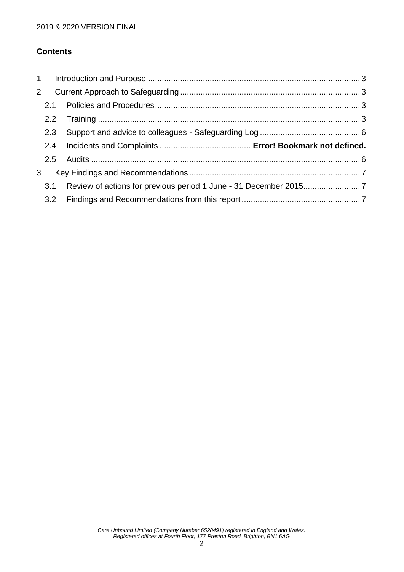# **Contents**

| $\overline{2}$ |     |  |  |  |  |  |
|----------------|-----|--|--|--|--|--|
|                |     |  |  |  |  |  |
|                |     |  |  |  |  |  |
| 2.3            |     |  |  |  |  |  |
|                |     |  |  |  |  |  |
|                |     |  |  |  |  |  |
|                |     |  |  |  |  |  |
| 3 <sup>1</sup> |     |  |  |  |  |  |
|                | 3.1 |  |  |  |  |  |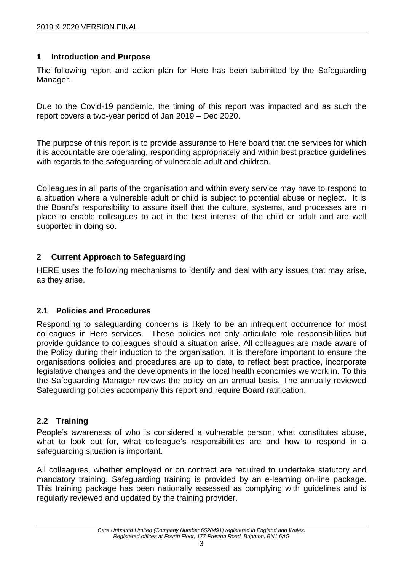# <span id="page-2-0"></span>**1 Introduction and Purpose**

The following report and action plan for Here has been submitted by the Safeguarding Manager.

Due to the Covid-19 pandemic, the timing of this report was impacted and as such the report covers a two-year period of Jan 2019 – Dec 2020.

The purpose of this report is to provide assurance to Here board that the services for which it is accountable are operating, responding appropriately and within best practice guidelines with regards to the safeguarding of vulnerable adult and children.

Colleagues in all parts of the organisation and within every service may have to respond to a situation where a vulnerable adult or child is subject to potential abuse or neglect. It is the Board's responsibility to assure itself that the culture, systems, and processes are in place to enable colleagues to act in the best interest of the child or adult and are well supported in doing so.

# <span id="page-2-1"></span>**2 Current Approach to Safeguarding**

HERE uses the following mechanisms to identify and deal with any issues that may arise, as they arise.

#### <span id="page-2-2"></span>**2.1 Policies and Procedures**

Responding to safeguarding concerns is likely to be an infrequent occurrence for most colleagues in Here services. These policies not only articulate role responsibilities but provide guidance to colleagues should a situation arise. All colleagues are made aware of the Policy during their induction to the organisation. It is therefore important to ensure the organisations policies and procedures are up to date, to reflect best practice, incorporate legislative changes and the developments in the local health economies we work in. To this the Safeguarding Manager reviews the policy on an annual basis. The annually reviewed Safeguarding policies accompany this report and require Board ratification.

# <span id="page-2-3"></span>**2.2 Training**

People's awareness of who is considered a vulnerable person, what constitutes abuse, what to look out for, what colleague's responsibilities are and how to respond in a safeguarding situation is important.

All colleagues, whether employed or on contract are required to undertake statutory and mandatory training. Safeguarding training is provided by an e-learning on-line package. This training package has been nationally assessed as complying with guidelines and is regularly reviewed and updated by the training provider.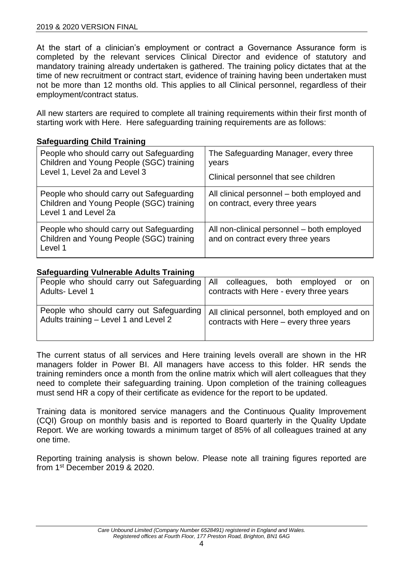#### 2019 & 2020 VERSION FINAL

At the start of a clinician's employment or contract a Governance Assurance form is completed by the relevant services Clinical Director and evidence of statutory and mandatory training already undertaken is gathered. The training policy dictates that at the time of new recruitment or contract start, evidence of training having been undertaken must not be more than 12 months old. This applies to all Clinical personnel, regardless of their employment/contract status.

All new starters are required to complete all training requirements within their first month of starting work with Here. Here safeguarding training requirements are as follows:

#### **Safeguarding Child Training**

| People who should carry out Safeguarding<br>Children and Young People (SGC) training<br>Level 1, Level 2a and Level 3 | The Safeguarding Manager, every three<br>years<br>Clinical personnel that see children |
|-----------------------------------------------------------------------------------------------------------------------|----------------------------------------------------------------------------------------|
| People who should carry out Safeguarding<br>Children and Young People (SGC) training<br>Level 1 and Level 2a          | All clinical personnel – both employed and<br>on contract, every three years           |
| People who should carry out Safeguarding<br>Children and Young People (SGC) training<br>Level 1                       | All non-clinical personnel - both employed<br>and on contract every three years        |

#### **Safeguarding Vulnerable Adults Training**

| People who should carry out Safeguarding   All colleagues, both employed or | on l                                         |
|-----------------------------------------------------------------------------|----------------------------------------------|
| Adults-Level 1                                                              | contracts with Here - every three years      |
| People who should carry out Safeguarding                                    | All clinical personnel, both employed and on |
| Adults training - Level 1 and Level 2                                       | contracts with Here – every three years      |

The current status of all services and Here training levels overall are shown in the HR managers folder in Power BI. All managers have access to this folder. HR sends the training reminders once a month from the online matrix which will alert colleagues that they need to complete their safeguarding training. Upon completion of the training colleagues must send HR a copy of their certificate as evidence for the report to be updated.

Training data is monitored service managers and the Continuous Quality Improvement (CQI) Group on monthly basis and is reported to Board quarterly in the Quality Update Report. We are working towards a minimum target of 85% of all colleagues trained at any one time.

Reporting training analysis is shown below. Please note all training figures reported are from 1st December 2019 & 2020.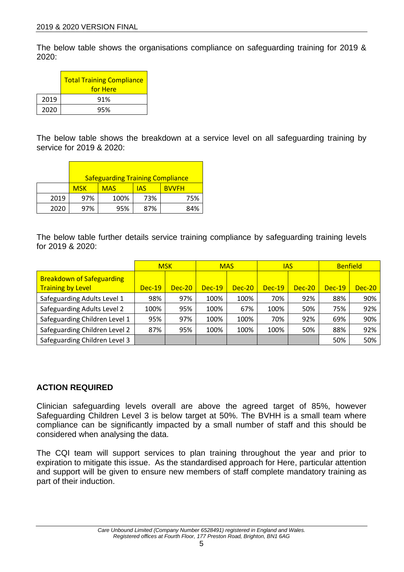The below table shows the organisations compliance on safeguarding training for 2019 &  $2020$ 

|      | <b>Total Training Compliance</b><br>for Here |
|------|----------------------------------------------|
| 2019 | 91%                                          |
| 2020 | 95%                                          |

The below table shows the breakdown at a service level on all safeguarding training by service for 2019 & 2020:

|      | <b>Safeguarding Training Compliance</b> |            |            |              |
|------|-----------------------------------------|------------|------------|--------------|
|      | <b>MSK</b>                              | <b>MAS</b> | <b>IAS</b> | <b>BVVFH</b> |
| 2019 | 97%                                     | 100%       | 73%        | 75%          |
| 2020 | 97%                                     | 95%        | 87%        | 84%          |

The below table further details service training compliance by safeguarding training levels for 2019 & 2020:

|                                                              |          | <b>MSK</b> |          | <b>MAS</b> | <b>IAS</b> |          | <b>Benfield</b> |          |
|--------------------------------------------------------------|----------|------------|----------|------------|------------|----------|-----------------|----------|
| <b>Breakdown of Safeguarding</b><br><b>Training by Level</b> | $Dec-19$ | $Dec-20$   | $Dec-19$ | $Dec-20$   | $Dec-19$   | $Dec-20$ | $Dec-19$        | $Dec-20$ |
| Safeguarding Adults Level 1                                  | 98%      | 97%        | 100%     | 100%       | 70%        | 92%      | 88%             | 90%      |
| Safeguarding Adults Level 2                                  | 100%     | 95%        | 100%     | 67%        | 100%       | 50%      | 75%             | 92%      |
| Safeguarding Children Level 1                                | 95%      | 97%        | 100%     | 100%       | 70%        | 92%      | 69%             | 90%      |
| Safeguarding Children Level 2                                | 87%      | 95%        | 100%     | 100%       | 100%       | 50%      | 88%             | 92%      |
| Safeguarding Children Level 3                                |          |            |          |            |            |          | 50%             | 50%      |

# **ACTION REQUIRED**

Clinician safeguarding levels overall are above the agreed target of 85%, however Safeguarding Children Level 3 is below target at 50%. The BVHH is a small team where compliance can be significantly impacted by a small number of staff and this should be considered when analysing the data.

The CQI team will support services to plan training throughout the year and prior to expiration to mitigate this issue. As the standardised approach for Here, particular attention and support will be given to ensure new members of staff complete mandatory training as part of their induction.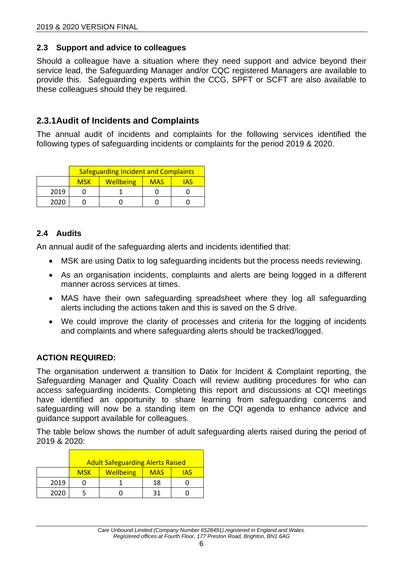# <span id="page-5-0"></span>**2.3 Support and advice to colleagues**

Should a colleague have a situation where they need support and advice beyond their service lead, the Safeguarding Manager and/or CQC registered Managers are available to provide this. Safeguarding experts within the CCG, SPFT or SCFT are also available to these colleagues should they be required.

# **2.3.1Audit of Incidents and Complaints**

The annual audit of incidents and complaints for the following services identified the following types of safeguarding incidents or complaints for the period 2019 & 2020.

|      | <b>Safeguarding Incident and Complaints</b>  |  |  |     |
|------|----------------------------------------------|--|--|-----|
|      | <b>Wellbeing</b><br><b>MSK</b><br><b>MAS</b> |  |  | IAS |
| 2019 |                                              |  |  |     |
| 2020 |                                              |  |  |     |

# <span id="page-5-1"></span>**2.4 Audits**

An annual audit of the safeguarding alerts and incidents identified that:

- MSK are using Datix to log safeguarding incidents but the process needs reviewing.
- As an organisation incidents, complaints and alerts are being logged in a different manner across services at times.
- MAS have their own safeguarding spreadsheet where they log all safeguarding alerts including the actions taken and this is saved on the S drive.
- We could improve the clarity of processes and criteria for the logging of incidents and complaints and where safeguarding alerts should be tracked/logged.

# **ACTION REQUIRED:**

The organisation underwent a transition to Datix for Incident & Complaint reporting, the Safeguarding Manager and Quality Coach will review auditing procedures for who can access safeguarding incidents. Completing this report and discussions at CQI meetings have identified an opportunity to share learning from safeguarding concerns and safeguarding will now be a standing item on the CQI agenda to enhance advice and guidance support available for colleagues.

The table below shows the number of adult safeguarding alerts raised during the period of 2019 & 2020:

|      | <b>Adult Safeguarding Alerts Raised</b> |           |            |     |
|------|-----------------------------------------|-----------|------------|-----|
|      | <b>MSK</b>                              | Wellbeing | <b>MAS</b> | IAS |
| 2019 |                                         |           | 18         |     |
| 2020 |                                         |           |            |     |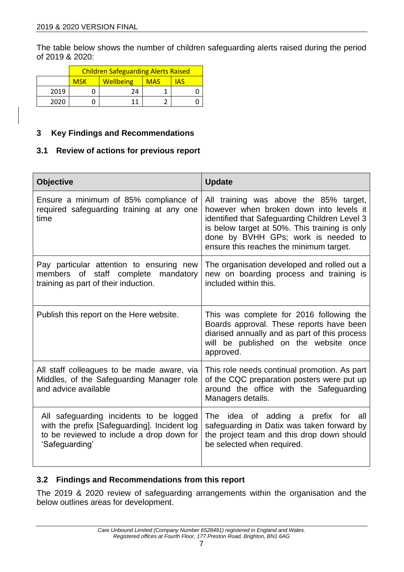The table below shows the number of children safeguarding alerts raised during the period of 2019 & 2020:

|      | <b>Children Safeguarding Alerts Raised</b> |                  |            |            |
|------|--------------------------------------------|------------------|------------|------------|
|      | <b>MSK</b>                                 | <b>Wellbeing</b> | <b>MAS</b> | <b>IAS</b> |
| 2019 |                                            | 24               |            |            |
| 2020 |                                            |                  |            |            |

#### <span id="page-6-0"></span>**3 Key Findings and Recommendations**

#### <span id="page-6-1"></span>**3.1 Review of actions for previous report**

| <b>Objective</b>                                                                                                                                       | <b>Update</b>                                                                                                                                                                                                                                                         |
|--------------------------------------------------------------------------------------------------------------------------------------------------------|-----------------------------------------------------------------------------------------------------------------------------------------------------------------------------------------------------------------------------------------------------------------------|
| Ensure a minimum of 85% compliance of<br>required safeguarding training at any one<br>time                                                             | All training was above the 85% target,<br>however when broken down into levels it<br>identified that Safeguarding Children Level 3<br>is below target at 50%. This training is only<br>done by BVHH GPs; work is needed to<br>ensure this reaches the minimum target. |
| Pay particular attention to ensuring new<br>of staff complete mandatory<br>members<br>training as part of their induction.                             | The organisation developed and rolled out a<br>new on boarding process and training is<br>included within this.                                                                                                                                                       |
| Publish this report on the Here website.                                                                                                               | This was complete for 2016 following the<br>Boards approval. These reports have been<br>diarised annually and as part of this process<br>will be published on the website once<br>approved.                                                                           |
| All staff colleagues to be made aware, via<br>Middles, of the Safeguarding Manager role<br>and advice available                                        | This role needs continual promotion. As part<br>of the CQC preparation posters were put up<br>around the office with the Safeguarding<br>Managers details.                                                                                                            |
| All safeguarding incidents to be logged<br>with the prefix [Safeguarding]. Incident log<br>to be reviewed to include a drop down for<br>'Safeguarding' | The idea of adding a prefix for all<br>safeguarding in Datix was taken forward by<br>the project team and this drop down should<br>be selected when required.                                                                                                         |

#### <span id="page-6-2"></span>**3.2 Findings and Recommendations from this report**

The 2019 & 2020 review of safeguarding arrangements within the organisation and the below outlines areas for development.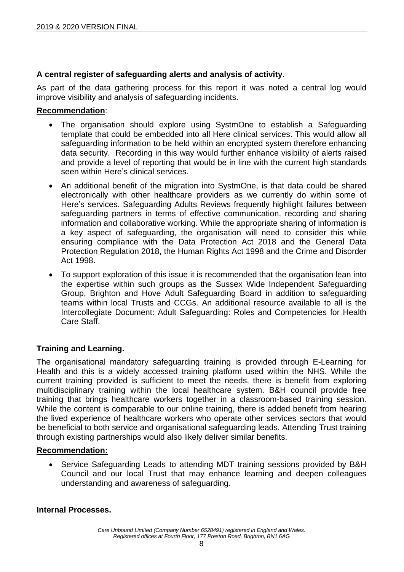# **A central register of safeguarding alerts and analysis of activity**.

As part of the data gathering process for this report it was noted a central log would improve visibility and analysis of safeguarding incidents.

#### **Recommendation**:

- The organisation should explore using SystmOne to establish a Safeguarding template that could be embedded into all Here clinical services. This would allow all safeguarding information to be held within an encrypted system therefore enhancing data security. Recording in this way would further enhance visibility of alerts raised and provide a level of reporting that would be in line with the current high standards seen within Here's clinical services.
- An additional benefit of the migration into SystmOne, is that data could be shared electronically with other healthcare providers as we currently do within some of Here's services. Safeguarding Adults Reviews frequently highlight failures between safeguarding partners in terms of effective communication, recording and sharing information and collaborative working. While the appropriate sharing of information is a key aspect of safeguarding, the organisation will need to consider this while ensuring compliance with the Data Protection Act 2018 and the General Data Protection Regulation 2018, the Human Rights Act 1998 and the Crime and Disorder Act 1998.
- To support exploration of this issue it is recommended that the organisation lean into the expertise within such groups as the Sussex Wide Independent Safeguarding Group, Brighton and Hove Adult Safeguarding Board in addition to safeguarding teams within local Trusts and CCGs. An additional resource available to all is the Intercollegiate Document: Adult Safeguarding: Roles and Competencies for Health Care Staff.

# **Training and Learning.**

The organisational mandatory safeguarding training is provided through E-Learning for Health and this is a widely accessed training platform used within the NHS. While the current training provided is sufficient to meet the needs, there is benefit from exploring multidisciplinary training within the local healthcare system. B&H council provide free training that brings healthcare workers together in a classroom-based training session. While the content is comparable to our online training, there is added benefit from hearing the lived experience of healthcare workers who operate other services sectors that would be beneficial to both service and organisational safeguarding leads. Attending Trust training through existing partnerships would also likely deliver similar benefits.

#### **Recommendation:**

• Service Safeguarding Leads to attending MDT training sessions provided by B&H Council and our local Trust that may enhance learning and deepen colleagues understanding and awareness of safeguarding.

#### **Internal Processes.**